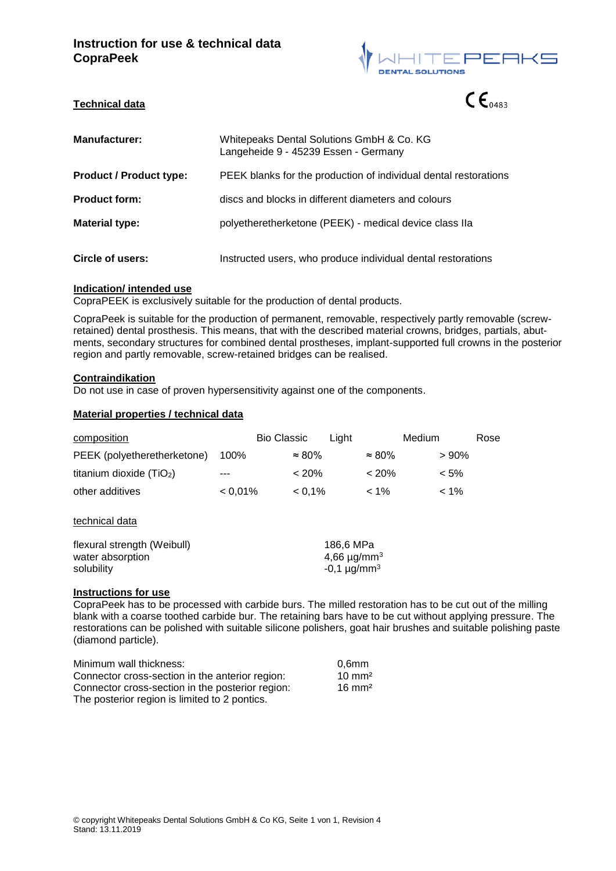

 $\mathsf{CE}_{0483}$ 

# **Technical data**

| <b>Manufacturer:</b>           | Whitepeaks Dental Solutions GmbH & Co. KG<br>Langeheide 9 - 45239 Essen - Germany |
|--------------------------------|-----------------------------------------------------------------------------------|
| <b>Product / Product type:</b> | PEEK blanks for the production of individual dental restorations                  |
| <b>Product form:</b>           | discs and blocks in different diameters and colours                               |
| <b>Material type:</b>          | polyetheretherketone (PEEK) - medical device class IIa                            |
| Circle of users:               | Instructed users, who produce individual dental restorations                      |

### **Indication/ intended use**

CopraPEEK is exclusively suitable for the production of dental products.

CopraPeek is suitable for the production of permanent, removable, respectively partly removable (screwretained) dental prosthesis. This means, that with the described material crowns, bridges, partials, abutments, secondary structures for combined dental prostheses, implant-supported full crowns in the posterior region and partly removable, screw-retained bridges can be realised.

### **Contraindikation**

Do not use in case of proven hypersensitivity against one of the components.

### **Material properties / technical data**

| composition                                   | <b>Bio Classic</b>                        | Light          |                   | Medium<br>Rose |
|-----------------------------------------------|-------------------------------------------|----------------|-------------------|----------------|
| PEEK (polyetheretherketone)                   | 100%                                      | $\approx 80\%$ | $\approx 80\%$    | >90%           |
| titanium dioxide $(TiO2)$                     |                                           | $< 20\%$       | < 20%             | $< 5\%$        |
| other additives                               | $< 0.01\%$                                | $< 0.1\%$      | $< 1\%$           | $< 1\%$        |
| technical data<br>flexural strength (Weibull) |                                           |                |                   |                |
| water absorption                              | 186,6 MPa<br>4,66 $\mu$ g/mm <sup>3</sup> |                |                   |                |
| solubility                                    |                                           |                | $-0,1 \mu g/mm^3$ |                |
| The continues of the second forms are as      |                                           |                |                   |                |

### **Instructions for use**

CopraPeek has to be processed with carbide burs. The milled restoration has to be cut out of the milling blank with a coarse toothed carbide bur. The retaining bars have to be cut without applying pressure. The restorations can be polished with suitable silicone polishers, goat hair brushes and suitable polishing paste (diamond particle).

| Minimum wall thickness:                          | 0.6mm             |
|--------------------------------------------------|-------------------|
| Connector cross-section in the anterior region:  | $10 \text{ mm}^2$ |
| Connector cross-section in the posterior region: | $16 \text{ mm}^2$ |
| The posterior region is limited to 2 pontics.    |                   |